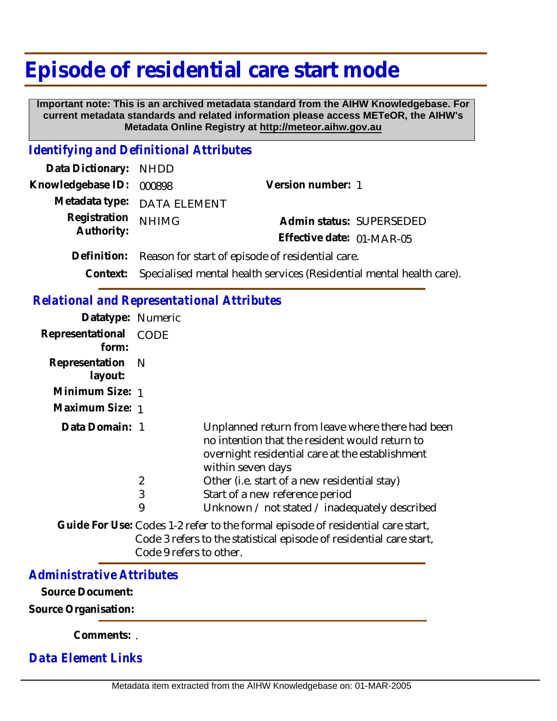## **Episode of residential care start mode**

 **Important note: This is an archived metadata standard from the AIHW Knowledgebase. For current metadata standards and related information please access METeOR, the AIHW's Metadata Online Registry at http://meteor.aihw.gov.au**

## *Identifying and Definitional Attributes*

| Data Dictionary: NHDD      |                                                              |                           |                          |
|----------------------------|--------------------------------------------------------------|---------------------------|--------------------------|
| Knowledgebase ID: 000898   |                                                              | Version number: 1         |                          |
|                            | Metadata type: DATA ELEMENT                                  |                           |                          |
| Registration<br>Authority: | <b>NHIMG</b>                                                 |                           | Admin status: SUPERSEDED |
|                            |                                                              | Effective date: 01-MAR-05 |                          |
|                            | Definition: Reason for start of episode of residential care. |                           |                          |
|                            |                                                              |                           |                          |

**Context:** Specialised mental health services (Residential mental health care).

## *Relational and Representational Attributes*

| Datatype: Numeric         |      |                                                                                                                                                                            |
|---------------------------|------|----------------------------------------------------------------------------------------------------------------------------------------------------------------------------|
| Representational<br>form: | CODE |                                                                                                                                                                            |
| Representation<br>layout: | - N  |                                                                                                                                                                            |
| Minimum Size: 1           |      |                                                                                                                                                                            |
| Maximum Size: 1           |      |                                                                                                                                                                            |
| Data Domain: 1            |      | Unplanned return from leave where there had been<br>no intention that the resident would return to<br>overnight residential care at the establishment<br>within seven days |
|                           | 2    | Other (i.e. start of a new residential stay)                                                                                                                               |
|                           | 3    | Start of a new reference period                                                                                                                                            |
|                           | 9    | Unknown / not stated / inadequately described                                                                                                                              |
|                           |      | Guide For Use: Codes 1-2 refer to the formal episode of residential care start,                                                                                            |

Code 3 refers to the statistical episode of residential care start, Code 9 refers to other.

## *Administrative Attributes*

**Source Document:**

**Source Organisation:**

**Comments:** .

*Data Element Links*